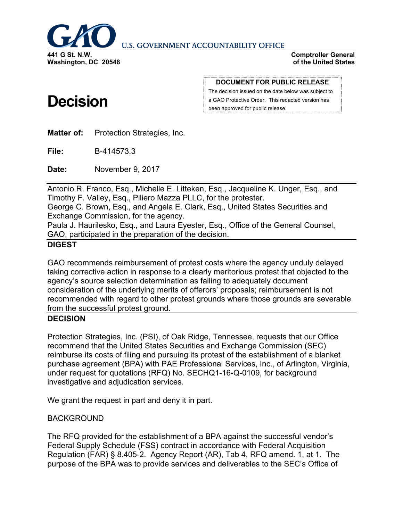

**U.S. GOVERNMENT ACCOUNTABILITY OFFICE** 

**Comptroller General of the United States**

# **Decision**

**DOCUMENT FOR PUBLIC RELEASE**

The decision issued on the date below was subject to a GAO Protective Order. This redacted version has been approved for public release.

**Matter of:** Protection Strategies, Inc.

**File:** B-414573.3

**Date:** November 9, 2017

Antonio R. Franco, Esq., Michelle E. Litteken, Esq., Jacqueline K. Unger, Esq., and Timothy F. Valley, Esq., Piliero Mazza PLLC, for the protester.

George C. Brown, Esq., and Angela E. Clark, Esq., United States Securities and Exchange Commission, for the agency.

Paula J. Haurilesko, Esq., and Laura Eyester, Esq., Office of the General Counsel, GAO, participated in the preparation of the decision.

### **DIGEST**

GAO recommends reimbursement of protest costs where the agency unduly delayed taking corrective action in response to a clearly meritorious protest that objected to the agency's source selection determination as failing to adequately document consideration of the underlying merits of offerors' proposals; reimbursement is not recommended with regard to other protest grounds where those grounds are severable from the successful protest ground.

## **DECISION**

Protection Strategies, Inc. (PSI), of Oak Ridge, Tennessee, requests that our Office recommend that the United States Securities and Exchange Commission (SEC) reimburse its costs of filing and pursuing its protest of the establishment of a blanket purchase agreement (BPA) with PAE Professional Services, Inc., of Arlington, Virginia, under request for quotations (RFQ) No. SECHQ1-16-Q-0109, for background investigative and adjudication services.

We grant the request in part and deny it in part.

## BACKGROUND

The RFQ provided for the establishment of a BPA against the successful vendor's Federal Supply Schedule (FSS) contract in accordance with Federal Acquisition Regulation (FAR) § 8.405-2. Agency Report (AR), Tab 4, RFQ amend. 1, at 1. The purpose of the BPA was to provide services and deliverables to the SEC's Office of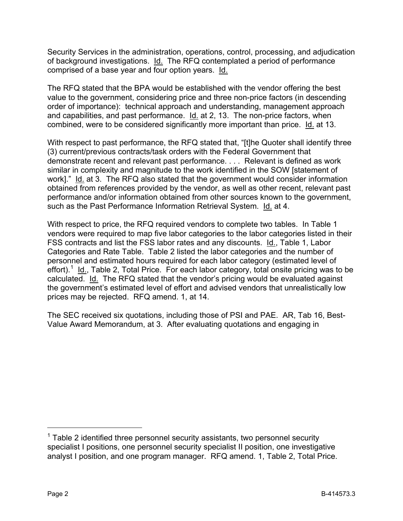Security Services in the administration, operations, control, processing, and adjudication of background investigations. Id. The RFQ contemplated a period of performance comprised of a base year and four option years. Id.

The RFQ stated that the BPA would be established with the vendor offering the best value to the government, considering price and three non-price factors (in descending order of importance): technical approach and understanding, management approach and capabilities, and past performance. Id. at 2, 13. The non-price factors, when combined, were to be considered significantly more important than price. Id. at 13.

With respect to past performance, the RFQ stated that, "[t]he Quoter shall identify three (3) current/previous contracts/task orders with the Federal Government that demonstrate recent and relevant past performance. . . . Relevant is defined as work similar in complexity and magnitude to the work identified in the SOW [statement of work]." Id. at 3. The RFQ also stated that the government would consider information obtained from references provided by the vendor, as well as other recent, relevant past performance and/or information obtained from other sources known to the government, such as the Past Performance Information Retrieval System. Id. at 4.

With respect to price, the RFQ required vendors to complete two tables. In Table 1 vendors were required to map five labor categories to the labor categories listed in their FSS contracts and list the FSS labor rates and any discounts. Id., Table 1, Labor Categories and Rate Table. Table 2 listed the labor categories and the number of personnel and estimated hours required for each labor category (estimated level of effort).<sup>[1](#page-1-0)</sup> Id., Table 2, Total Price. For each labor category, total onsite pricing was to be calculated. Id. The RFQ stated that the vendor's pricing would be evaluated against the government's estimated level of effort and advised vendors that unrealistically low prices may be rejected. RFQ amend. 1, at 14.

The SEC received six quotations, including those of PSI and PAE. AR, Tab 16, Best-Value Award Memorandum, at 3. After evaluating quotations and engaging in

<span id="page-1-0"></span> $1$  Table 2 identified three personnel security assistants, two personnel security specialist I positions, one personnel security specialist II position, one investigative analyst I position, and one program manager. RFQ amend. 1, Table 2, Total Price.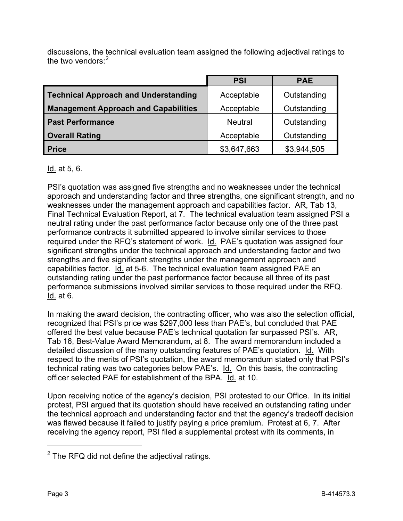discussions, the technical evaluation team assigned the following adjectival ratings to the two vendors: $2$ 

|                                             | <b>PSI</b>     | <b>PAE</b>  |
|---------------------------------------------|----------------|-------------|
| <b>Technical Approach and Understanding</b> | Acceptable     | Outstanding |
| <b>Management Approach and Capabilities</b> | Acceptable     | Outstanding |
| <b>Past Performance</b>                     | <b>Neutral</b> | Outstanding |
| <b>Overall Rating</b>                       | Acceptable     | Outstanding |
| <b>Price</b>                                | \$3,647,663    | \$3,944,505 |

### Id. at 5, 6.

PSI's quotation was assigned five strengths and no weaknesses under the technical approach and understanding factor and three strengths, one significant strength, and no weaknesses under the management approach and capabilities factor. AR, Tab 13, Final Technical Evaluation Report, at 7. The technical evaluation team assigned PSI a neutral rating under the past performance factor because only one of the three past performance contracts it submitted appeared to involve similar services to those required under the RFQ's statement of work. Id. PAE's quotation was assigned four significant strengths under the technical approach and understanding factor and two strengths and five significant strengths under the management approach and capabilities factor. Id. at 5-6. The technical evaluation team assigned PAE an outstanding rating under the past performance factor because all three of its past performance submissions involved similar services to those required under the RFQ. Id. at 6.

In making the award decision, the contracting officer, who was also the selection official, recognized that PSI's price was \$297,000 less than PAE's, but concluded that PAE offered the best value because PAE's technical quotation far surpassed PSI's. AR, Tab 16, Best-Value Award Memorandum, at 8. The award memorandum included a detailed discussion of the many outstanding features of PAE's quotation. Id. With respect to the merits of PSI's quotation, the award memorandum stated only that PSI's technical rating was two categories below PAE's. Id. On this basis, the contracting officer selected PAE for establishment of the BPA. Id. at 10.

Upon receiving notice of the agency's decision, PSI protested to our Office. In its initial protest, PSI argued that its quotation should have received an outstanding rating under the technical approach and understanding factor and that the agency's tradeoff decision was flawed because it failed to justify paying a price premium. Protest at 6, 7. After receiving the agency report, PSI filed a supplemental protest with its comments, in

<span id="page-2-0"></span> $2$  The RFQ did not define the adjectival ratings.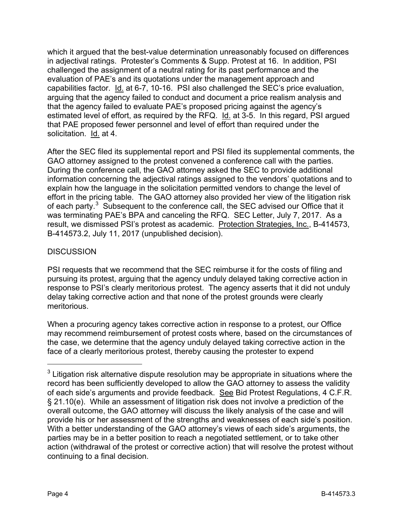which it argued that the best-value determination unreasonably focused on differences in adjectival ratings. Protester's Comments & Supp. Protest at 16. In addition, PSI challenged the assignment of a neutral rating for its past performance and the evaluation of PAE's and its quotations under the management approach and capabilities factor. Id. at 6-7, 10-16. PSI also challenged the SEC's price evaluation, arguing that the agency failed to conduct and document a price realism analysis and that the agency failed to evaluate PAE's proposed pricing against the agency's estimated level of effort, as required by the RFQ. Id. at 3-5. In this regard, PSI argued that PAE proposed fewer personnel and level of effort than required under the solicitation. Id. at 4.

After the SEC filed its supplemental report and PSI filed its supplemental comments, the GAO attorney assigned to the protest convened a conference call with the parties. During the conference call, the GAO attorney asked the SEC to provide additional information concerning the adjectival ratings assigned to the vendors' quotations and to explain how the language in the solicitation permitted vendors to change the level of effort in the pricing table. The GAO attorney also provided her view of the litigation risk of each party.<sup>[3](#page-3-0)</sup> Subsequent to the conference call, the SEC advised our Office that it was terminating PAE's BPA and canceling the RFQ. SEC Letter, July 7, 2017. As a result, we dismissed PSI's protest as academic. Protection Strategies, Inc., B-414573, B-414573.2, July 11, 2017 (unpublished decision).

## **DISCUSSION**

PSI requests that we recommend that the SEC reimburse it for the costs of filing and pursuing its protest, arguing that the agency unduly delayed taking corrective action in response to PSI's clearly meritorious protest. The agency asserts that it did not unduly delay taking corrective action and that none of the protest grounds were clearly meritorious.

When a procuring agency takes corrective action in response to a protest, our Office may recommend reimbursement of protest costs where, based on the circumstances of the case, we determine that the agency unduly delayed taking corrective action in the face of a clearly meritorious protest, thereby causing the protester to expend

<span id="page-3-0"></span> $3$  Litigation risk alternative dispute resolution may be appropriate in situations where the record has been sufficiently developed to allow the GAO attorney to assess the validity of each side's arguments and provide feedback. See Bid Protest Regulations, 4 C.F.R. § 21.10(e). While an assessment of litigation risk does not involve a prediction of the overall outcome, the GAO attorney will discuss the likely analysis of the case and will provide his or her assessment of the strengths and weaknesses of each side's position. With a better understanding of the GAO attorney's views of each side's arguments, the parties may be in a better position to reach a negotiated settlement, or to take other action (withdrawal of the protest or corrective action) that will resolve the protest without continuing to a final decision.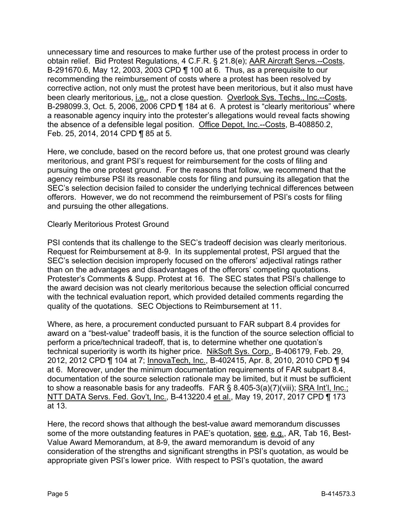unnecessary time and resources to make further use of the protest process in order to obtain relief. Bid Protest Regulations, 4 C.F.R. § 21.8(e); AAR Aircraft Servs.--Costs, B-291670.6, May 12, 2003, 2003 CPD ¶ 100 at 6. Thus, as a prerequisite to our recommending the reimbursement of costs where a protest has been resolved by corrective action, not only must the protest have been meritorious, but it also must have been clearly meritorious, *i.e.*, not a close question. Overlook Sys. Techs., Inc.--Costs, B-298099.3, Oct. 5, 2006, 2006 CPD ¶ 184 at 6. A protest is "clearly meritorious" where a reasonable agency inquiry into the protester's allegations would reveal facts showing the absence of a defensible legal position. Office Depot, Inc.--Costs, B-408850.2, Feb. 25, 2014, 2014 CPD ¶ 85 at 5.

Here, we conclude, based on the record before us, that one protest ground was clearly meritorious, and grant PSI's request for reimbursement for the costs of filing and pursuing the one protest ground. For the reasons that follow, we recommend that the agency reimburse PSI its reasonable costs for filing and pursuing its allegation that the SEC's selection decision failed to consider the underlying technical differences between offerors. However, we do not recommend the reimbursement of PSI's costs for filing and pursuing the other allegations.

Clearly Meritorious Protest Ground

PSI contends that its challenge to the SEC's tradeoff decision was clearly meritorious. Request for Reimbursement at 8-9. In its supplemental protest, PSI argued that the SEC's selection decision improperly focused on the offerors' adjectival ratings rather than on the advantages and disadvantages of the offerors' competing quotations. Protester's Comments & Supp. Protest at 16. The SEC states that PSI's challenge to the award decision was not clearly meritorious because the selection official concurred with the technical evaluation report, which provided detailed comments regarding the quality of the quotations. SEC Objections to Reimbursement at 11.

Where, as here, a procurement conducted pursuant to FAR subpart 8.4 provides for award on a "best-value" tradeoff basis, it is the function of the source selection official to perform a price/technical tradeoff, that is, to determine whether one quotation's technical superiority is worth its higher price. NikSoft Sys. Corp., B-406179, Feb. 29, 2012, 2012 CPD ¶ 104 at 7; InnovaTech, Inc., B-402415, Apr. 8, 2010, 2010 CPD ¶ 94 at 6. Moreover, under the minimum documentation requirements of FAR subpart 8.4, documentation of the source selection rationale may be limited, but it must be sufficient to show a reasonable basis for any tradeoffs. FAR § 8.405-3(a)(7)(viii); SRA Int'l, Inc.; NTT DATA Servs. Fed. Gov't, Inc., B-413220.4 et al., May 19, 2017, 2017 CPD ¶ 173 at 13.

Here, the record shows that although the best-value award memorandum discusses some of the more outstanding features in PAE's quotation, see, e.g., AR, Tab 16, Best-Value Award Memorandum, at 8-9, the award memorandum is devoid of any consideration of the strengths and significant strengths in PSI's quotation, as would be appropriate given PSI's lower price. With respect to PSI's quotation, the award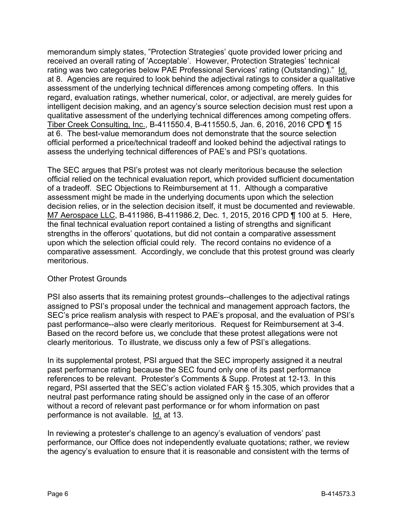memorandum simply states, "Protection Strategies' quote provided lower pricing and received an overall rating of 'Acceptable'. However, Protection Strategies' technical rating was two categories below PAE Professional Services' rating (Outstanding)." Id. at 8. Agencies are required to look behind the adjectival ratings to consider a qualitative assessment of the underlying technical differences among competing offers. In this regard, evaluation ratings, whether numerical, color, or adjectival, are merely guides for intelligent decision making, and an agency's source selection decision must rest upon a qualitative assessment of the underlying technical differences among competing offers. Tiber Creek Consulting, Inc., B-411550.4, B-411550.5, Jan. 6, 2016, 2016 CPD ¶ 15 at 6. The best-value memorandum does not demonstrate that the source selection official performed a price/technical tradeoff and looked behind the adjectival ratings to assess the underlying technical differences of PAE's and PSI's quotations.

The SEC argues that PSI's protest was not clearly meritorious because the selection official relied on the technical evaluation report, which provided sufficient documentation of a tradeoff. SEC Objections to Reimbursement at 11. Although a comparative assessment might be made in the underlying documents upon which the selection decision relies, or in the selection decision itself, it must be documented and reviewable. M7 Aerospace LLC, B-411986, B-411986.2, Dec. 1, 2015, 2016 CPD ¶ 100 at 5. Here, the final technical evaluation report contained a listing of strengths and significant strengths in the offerors' quotations, but did not contain a comparative assessment upon which the selection official could rely. The record contains no evidence of a comparative assessment. Accordingly, we conclude that this protest ground was clearly meritorious.

#### Other Protest Grounds

PSI also asserts that its remaining protest grounds--challenges to the adjectival ratings assigned to PSI's proposal under the technical and management approach factors, the SEC's price realism analysis with respect to PAE's proposal, and the evaluation of PSI's past performance--also were clearly meritorious. Request for Reimbursement at 3-4. Based on the record before us, we conclude that these protest allegations were not clearly meritorious. To illustrate, we discuss only a few of PSI's allegations.

In its supplemental protest, PSI argued that the SEC improperly assigned it a neutral past performance rating because the SEC found only one of its past performance references to be relevant. Protester's Comments & Supp. Protest at 12-13. In this regard, PSI asserted that the SEC's action violated FAR § 15.305, which provides that a neutral past performance rating should be assigned only in the case of an offeror without a record of relevant past performance or for whom information on past performance is not available. Id. at 13.

In reviewing a protester's challenge to an agency's evaluation of vendors' past performance, our Office does not independently evaluate quotations; rather, we review the agency's evaluation to ensure that it is reasonable and consistent with the terms of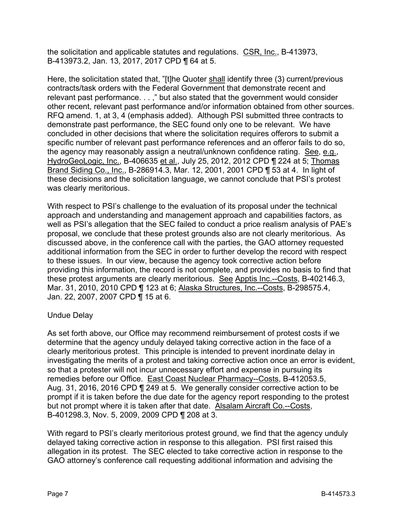the solicitation and applicable statutes and regulations. CSR, Inc., B-413973, B-413973.2, Jan. 13, 2017, 2017 CPD ¶ 64 at 5.

Here, the solicitation stated that, "[t]he Quoter shall identify three (3) current/previous contracts/task orders with the Federal Government that demonstrate recent and relevant past performance. . . ," but also stated that the government would consider other recent, relevant past performance and/or information obtained from other sources. RFQ amend. 1, at 3, 4 (emphasis added). Although PSI submitted three contracts to demonstrate past performance, the SEC found only one to be relevant. We have concluded in other decisions that where the solicitation requires offerors to submit a specific number of relevant past performance references and an offeror fails to do so, the agency may reasonably assign a neutral/unknown confidence rating. See, e.g., HydroGeoLogic, Inc., B-406635 et al., July 25, 2012, 2012 CPD ¶ 224 at 5; Thomas Brand Siding Co., Inc., B-286914.3, Mar. 12, 2001, 2001 CPD ¶ 53 at 4. In light of these decisions and the solicitation language, we cannot conclude that PSI's protest was clearly meritorious.

With respect to PSI's challenge to the evaluation of its proposal under the technical approach and understanding and management approach and capabilities factors, as well as PSI's allegation that the SEC failed to conduct a price realism analysis of PAE's proposal, we conclude that these protest grounds also are not clearly meritorious. As discussed above, in the conference call with the parties, the GAO attorney requested additional information from the SEC in order to further develop the record with respect to these issues. In our view, because the agency took corrective action before providing this information, the record is not complete, and provides no basis to find that these protest arguments are clearly meritorious. See Apptis Inc.--Costs, B-402146.3, Mar. 31, 2010, 2010 CPD ¶ 123 at 6; Alaska Structures, Inc.--Costs, B-298575.4, Jan. 22, 2007, 2007 CPD ¶ 15 at 6.

#### Undue Delay

As set forth above, our Office may recommend reimbursement of protest costs if we determine that the agency unduly delayed taking corrective action in the face of a clearly meritorious protest. This principle is intended to prevent inordinate delay in investigating the merits of a protest and taking corrective action once an error is evident, so that a protester will not incur unnecessary effort and expense in pursuing its remedies before our Office. East Coast Nuclear Pharmacy--Costs, B-412053.5, Aug. 31, 2016, 2016 CPD ¶ 249 at 5. We generally consider corrective action to be prompt if it is taken before the due date for the agency report responding to the protest but not prompt where it is taken after that date. Alsalam Aircraft Co.--Costs, B-401298.3, Nov. 5, 2009, 2009 CPD ¶ 208 at 3.

With regard to PSI's clearly meritorious protest ground, we find that the agency unduly delayed taking corrective action in response to this allegation. PSI first raised this allegation in its protest. The SEC elected to take corrective action in response to the GAO attorney's conference call requesting additional information and advising the